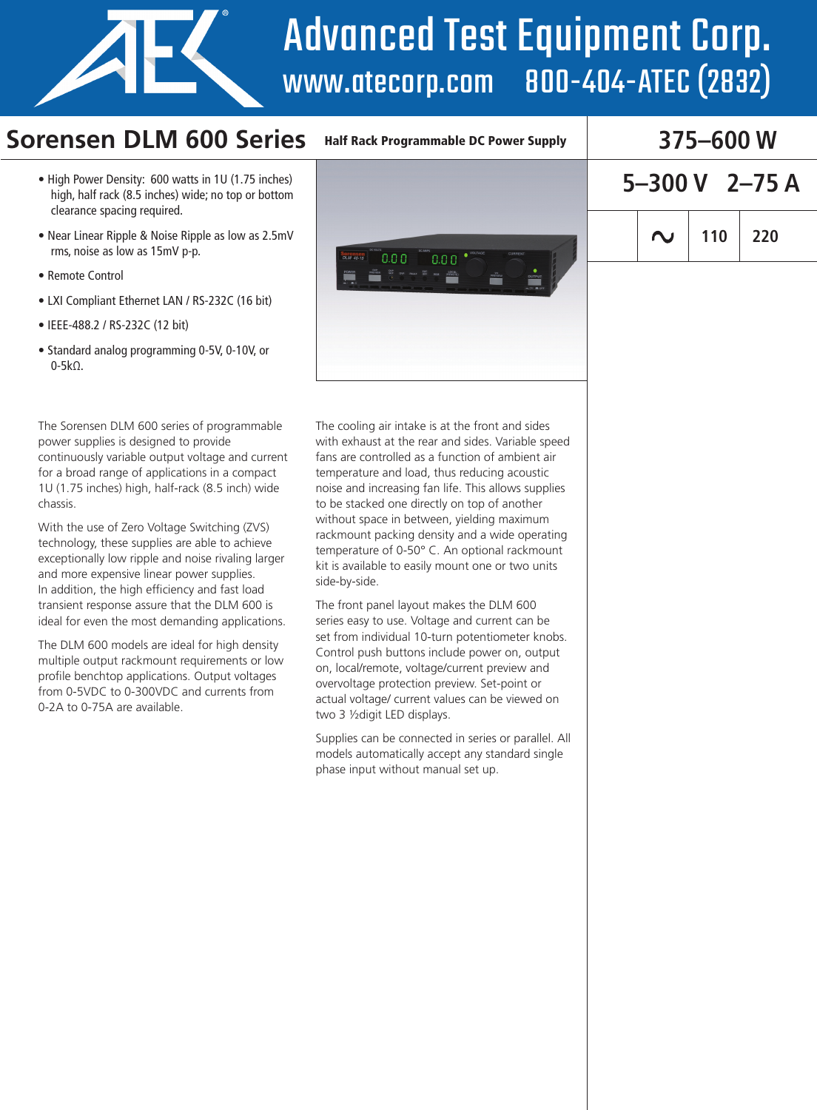

# Advanced Test Equipment Corp. www.atecorp.com

#### **Sorensen DLM 600 Series** Half Rack Programmable DC Power Supply 375–600 W

#### Half Rack Programmable DC Power Supply

- High Power Density: 600 watts in 1U (1.75 inches) high, half rack (8.5 inches) wide; no top or bottom clearance spacing required.
- Near Linear Ripple & Noise Ripple as low as 2.5mV rms, noise as low as 15mV p-p.
- Remote Control
- LXI Compliant Ethernet LAN / RS-232C (16 bit)
- IEEE-488.2 / RS-232C (12 bit)
- Standard analog programming 0-5V, 0-10V, or 0-5kΩ.

The Sorensen DLM 600 series of programmable power supplies is designed to provide continuously variable output voltage and current for a broad range of applications in a compact 1U (1.75 inches) high, half-rack (8.5 inch) wide chassis.

With the use of Zero Voltage Switching (ZVS) technology, these supplies are able to achieve exceptionally low ripple and noise rivaling larger and more expensive linear power supplies. In addition, the high efficiency and fast load transient response assure that the DLM 600 is ideal for even the most demanding applications.

The DLM 600 models are ideal for high density multiple output rackmount requirements or low profile benchtop applications. Output voltages from 0-5VDC to 0-300VDC and currents from 0-2A to 0-75A are available.



The cooling air intake is at the front and sides with exhaust at the rear and sides. Variable speed fans are controlled as a function of ambient air temperature and load, thus reducing acoustic noise and increasing fan life. This allows supplies to be stacked one directly on top of another without space in between, yielding maximum rackmount packing density and a wide operating temperature of 0-50° C. An optional rackmount kit is available to easily mount one or two units side-by-side.

The front panel layout makes the DLM 600 series easy to use. Voltage and current can be set from individual 10-turn potentiometer knobs. Control push buttons include power on, output on, local/remote, voltage/current preview and overvoltage protection preview. Set-point or actual voltage/ current values can be viewed on two 3 ½digit LED displays.

Supplies can be connected in series or parallel. All models automatically accept any standard single phase input without manual set up.

#### **5–300 V 2–75 A**

 $\sim$ **110 220**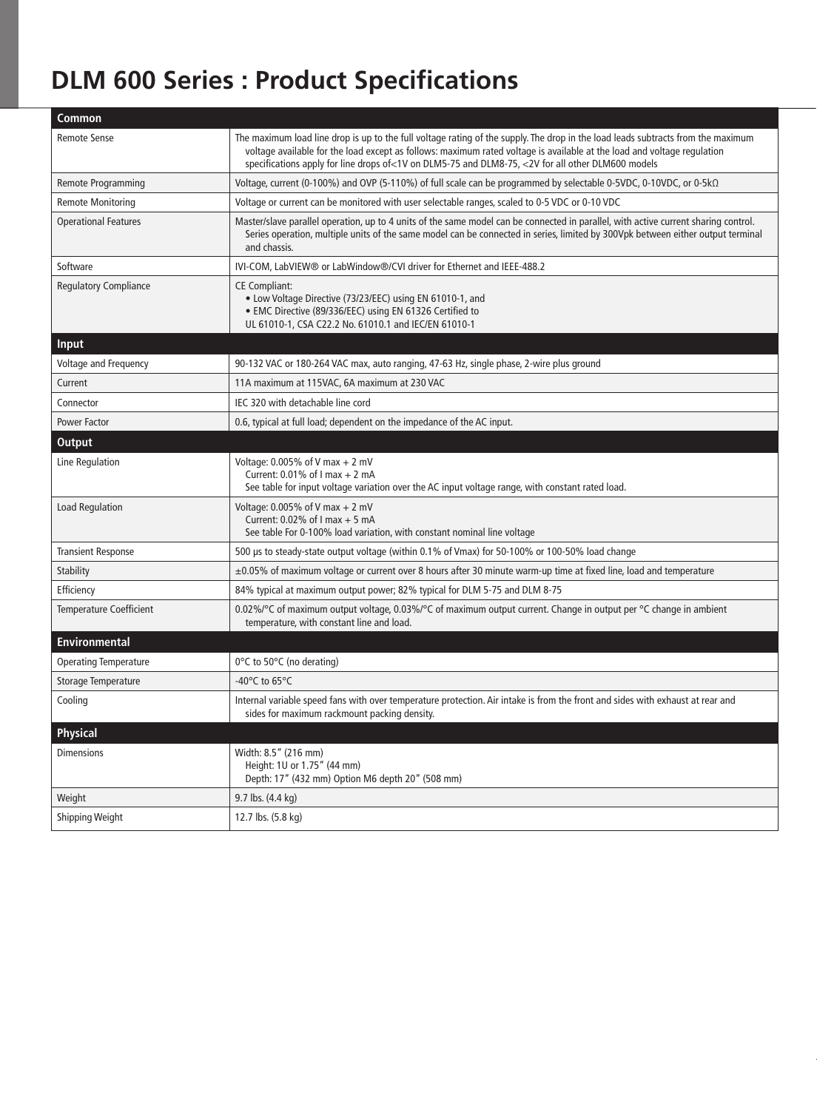## **DLM 600 Series : Product Specifications**

| Common                         |                                                                                                                                                                                                                                                                                                                                                                  |  |  |  |  |  |
|--------------------------------|------------------------------------------------------------------------------------------------------------------------------------------------------------------------------------------------------------------------------------------------------------------------------------------------------------------------------------------------------------------|--|--|--|--|--|
| <b>Remote Sense</b>            | The maximum load line drop is up to the full voltage rating of the supply. The drop in the load leads subtracts from the maximum<br>voltage available for the load except as follows: maximum rated voltage is available at the load and voltage regulation<br>specifications apply for line drops of<1V on DLM5-75 and DLM8-75, <2V for all other DLM600 models |  |  |  |  |  |
| <b>Remote Programming</b>      | Voltage, current (0-100%) and OVP (5-110%) of full scale can be programmed by selectable 0-5VDC, 0-10VDC, or 0-5k $\Omega$                                                                                                                                                                                                                                       |  |  |  |  |  |
| <b>Remote Monitoring</b>       | Voltage or current can be monitored with user selectable ranges, scaled to 0-5 VDC or 0-10 VDC                                                                                                                                                                                                                                                                   |  |  |  |  |  |
| <b>Operational Features</b>    | Master/slave parallel operation, up to 4 units of the same model can be connected in parallel, with active current sharing control.<br>Series operation, multiple units of the same model can be connected in series, limited by 300Vpk between either output terminal<br>and chassis.                                                                           |  |  |  |  |  |
| Software                       | IVI-COM, LabVIEW® or LabWindow®/CVI driver for Ethernet and IEEE-488.2                                                                                                                                                                                                                                                                                           |  |  |  |  |  |
| <b>Regulatory Compliance</b>   | <b>CE Compliant:</b><br>• Low Voltage Directive (73/23/EEC) using EN 61010-1, and<br>• EMC Directive (89/336/EEC) using EN 61326 Certified to<br>UL 61010-1, CSA C22.2 No. 61010.1 and IEC/EN 61010-1                                                                                                                                                            |  |  |  |  |  |
| <b>Input</b>                   |                                                                                                                                                                                                                                                                                                                                                                  |  |  |  |  |  |
| Voltage and Frequency          | 90-132 VAC or 180-264 VAC max, auto ranging, 47-63 Hz, single phase, 2-wire plus ground                                                                                                                                                                                                                                                                          |  |  |  |  |  |
| Current                        | 11A maximum at 115VAC, 6A maximum at 230 VAC                                                                                                                                                                                                                                                                                                                     |  |  |  |  |  |
| Connector                      | IEC 320 with detachable line cord                                                                                                                                                                                                                                                                                                                                |  |  |  |  |  |
| Power Factor                   | 0.6, typical at full load; dependent on the impedance of the AC input.                                                                                                                                                                                                                                                                                           |  |  |  |  |  |
| <b>Output</b>                  |                                                                                                                                                                                                                                                                                                                                                                  |  |  |  |  |  |
| Line Regulation                | Voltage: $0.005\%$ of V max + 2 mV<br>Current: $0.01\%$ of I max + 2 mA<br>See table for input voltage variation over the AC input voltage range, with constant rated load.                                                                                                                                                                                      |  |  |  |  |  |
| <b>Load Regulation</b>         | Voltage: $0.005\%$ of V max + 2 mV<br>Current: $0.02\%$ of I max + 5 mA<br>See table For 0-100% load variation, with constant nominal line voltage                                                                                                                                                                                                               |  |  |  |  |  |
| <b>Transient Response</b>      | 500 us to steady-state output voltage (within 0.1% of Vmax) for 50-100% or 100-50% load change                                                                                                                                                                                                                                                                   |  |  |  |  |  |
| <b>Stability</b>               | ±0.05% of maximum voltage or current over 8 hours after 30 minute warm-up time at fixed line, load and temperature                                                                                                                                                                                                                                               |  |  |  |  |  |
| Efficiency                     | 84% typical at maximum output power; 82% typical for DLM 5-75 and DLM 8-75                                                                                                                                                                                                                                                                                       |  |  |  |  |  |
| <b>Temperature Coefficient</b> | 0.02%/°C of maximum output voltage, 0.03%/°C of maximum output current. Change in output per °C change in ambient<br>temperature, with constant line and load.                                                                                                                                                                                                   |  |  |  |  |  |
| <b>Environmental</b>           |                                                                                                                                                                                                                                                                                                                                                                  |  |  |  |  |  |
| <b>Operating Temperature</b>   | 0°C to 50°C (no derating)                                                                                                                                                                                                                                                                                                                                        |  |  |  |  |  |
| <b>Storage Temperature</b>     | -40 $^{\circ}$ C to 65 $^{\circ}$ C                                                                                                                                                                                                                                                                                                                              |  |  |  |  |  |
| Cooling                        | Internal variable speed fans with over temperature protection. Air intake is from the front and sides with exhaust at rear and<br>sides for maximum rackmount packing density.                                                                                                                                                                                   |  |  |  |  |  |
| Physical                       |                                                                                                                                                                                                                                                                                                                                                                  |  |  |  |  |  |
| <b>Dimensions</b>              | Width: 8.5" (216 mm)<br>Height: 1U or 1.75" (44 mm)<br>Depth: 17" (432 mm) Option M6 depth 20" (508 mm)                                                                                                                                                                                                                                                          |  |  |  |  |  |
| Weight                         | 9.7 lbs. (4.4 kg)                                                                                                                                                                                                                                                                                                                                                |  |  |  |  |  |
| <b>Shipping Weight</b>         | 12.7 lbs. (5.8 kg)                                                                                                                                                                                                                                                                                                                                               |  |  |  |  |  |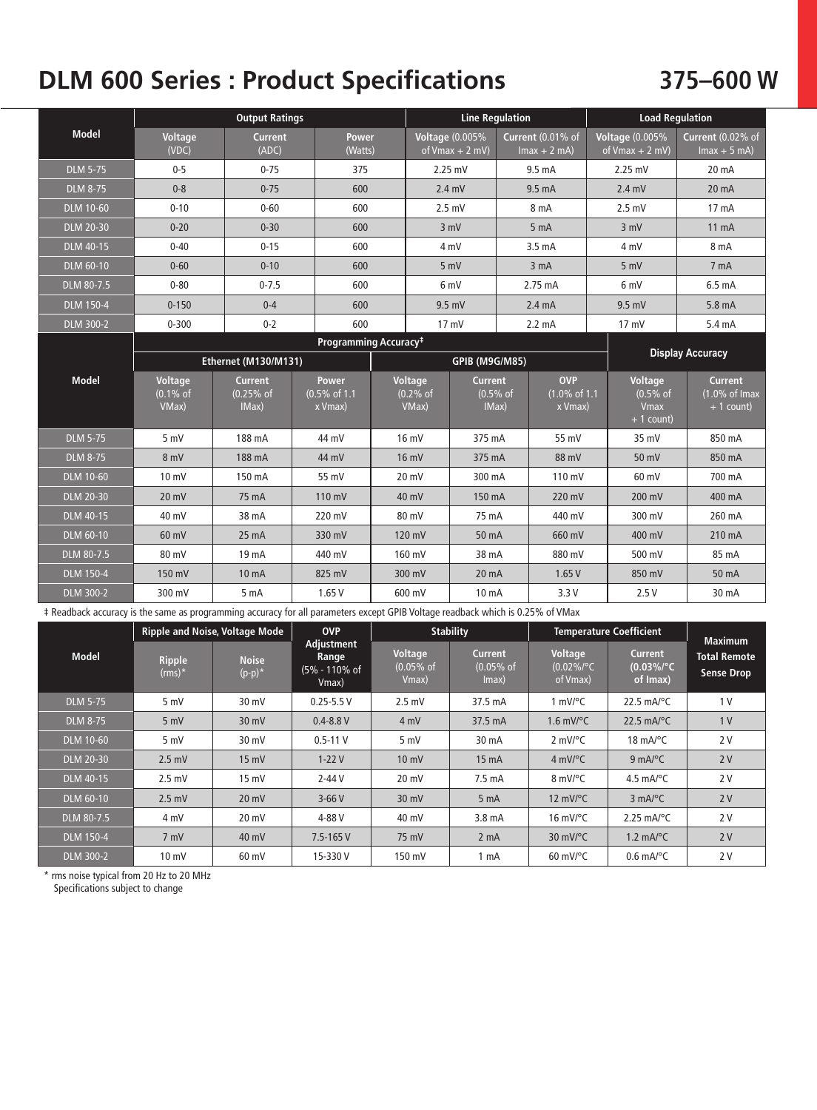### **DLM 600 Series : Product Specifications**

#### **375–600 W**

|                                   | <b>Output Ratings</b>        |                             |                                           |                         | <b>Line Regulation</b>       |                                             |                         |                                         | <b>Load Regulation</b> |                                              |                                                         |  |
|-----------------------------------|------------------------------|-----------------------------|-------------------------------------------|-------------------------|------------------------------|---------------------------------------------|-------------------------|-----------------------------------------|------------------------|----------------------------------------------|---------------------------------------------------------|--|
| <b>Model</b>                      | <b>Voltage</b><br>(VDC)      | Current<br>(ADC)            |                                           | <b>Power</b><br>(Watts) |                              | <b>Voltage (0.005%</b><br>of $Vmax + 2$ mV) |                         | Current (0.01% of<br>$Imax + 2$ mA)     |                        | <b>Voltage (0.005%</b><br>of $V$ max + 2 mV) | <b>Current (0.02% of</b><br>$Imax + 5$ mA)              |  |
| <b>DLM 5-75</b>                   | $0 - 5$                      | $0 - 75$                    | 375                                       |                         | $2.25$ mV                    |                                             | 9.5 <sub>mA</sub>       |                                         |                        | $2.25$ mV                                    | 20 mA                                                   |  |
| <b>DLM 8-75</b>                   | $0 - 8$                      | $0 - 75$                    | 600                                       |                         |                              | $2.4$ mV                                    | 9.5 <sub>mA</sub>       |                                         | $2.4$ mV               |                                              | 20 mA                                                   |  |
| <b>DLM 10-60</b>                  | $0 - 10$                     | $0 - 60$                    | 600                                       |                         |                              | $2.5$ mV                                    |                         | 8 mA                                    |                        | $2.5$ mV                                     | 17 <sub>mA</sub>                                        |  |
| <b>DLM 20-30</b>                  | $0 - 20$                     | $0 - 30$                    | 600                                       |                         |                              | 3 mV                                        |                         | 5 <sub>mA</sub>                         |                        | 3 mV                                         | $11 \text{ mA}$                                         |  |
| <b>DLM 40-15</b>                  | $0 - 40$                     | $0 - 15$                    | 600                                       |                         |                              | 4 mV                                        |                         | 3.5 <sub>mA</sub>                       |                        | 4 mV                                         | 8 mA                                                    |  |
| DLM 60-10                         | $0 - 60$                     | $0 - 10$                    | 600                                       |                         | 5 mV                         |                                             |                         | 3 <sub>m</sub> A                        |                        | 5 mV                                         | 7 <sub>mA</sub>                                         |  |
| DLM 80-7.5                        | $0 - 80$                     | $0 - 7.5$                   | 600                                       |                         |                              | 6 mV                                        |                         | $2.75 \text{ mA}$                       |                        | 6 mV                                         | $6.5 \text{ mA}$                                        |  |
| <b>DLM 150-4</b>                  | $0 - 150$                    | $0 - 4$                     | 600                                       |                         |                              | $9.5$ mV                                    |                         | 2.4 <sub>mA</sub>                       |                        | $9.5$ mV                                     | 5.8 mA                                                  |  |
| <b>DLM 300-2</b>                  | $0 - 300$                    | $0 - 2$                     | 600                                       |                         | $17 \text{ mV}$              |                                             |                         | $2.2 \text{ mA}$                        |                        | 17 mV                                        | 5.4 mA                                                  |  |
| Programming Accuracy <sup>‡</sup> |                              |                             |                                           |                         |                              |                                             | <b>Display Accuracy</b> |                                         |                        |                                              |                                                         |  |
|                                   |                              | Ethernet (M130/M131)        |                                           | <b>GPIB (M9G/M85)</b>   |                              |                                             |                         |                                         |                        |                                              |                                                         |  |
| <b>Model</b>                      | <b>Voltage</b><br>$(0.1%$ of | <b>Current</b><br>(0.25% of | <b>Power</b><br>$(0.5\% \text{ of } 1.1)$ |                         | <b>Voltage</b><br>$(0.2%$ of | <b>Current</b>                              | $(0.5%$ of              | <b>OVP</b><br>$(1.0\% \text{ of } 1.1)$ |                        | Voltage<br>$(0.5%$ of                        | <b>Current</b><br>$\overline{(1.0\% \text{ of } Imax)}$ |  |
|                                   | VMax)                        | IMax)                       | x Vmax)                                   |                         | VMax)                        | IMax)                                       |                         | x Vmax)                                 |                        | <b>Vmax</b><br>$+1$ count)                   | $+1$ count)                                             |  |
| <b>DLM 5-75</b>                   | 5 mV                         | 188 mA                      | 44 mV                                     | 16 mV                   |                              | 375 mA                                      |                         | 55 mV                                   |                        | 35 mV                                        | 850 mA                                                  |  |
| <b>DLM 8-75</b>                   | 8 mV                         | 188 mA                      | 44 mV                                     |                         | 16 mV                        | 375 mA                                      |                         | 88 mV                                   |                        | 50 mV                                        | 850 mA                                                  |  |
| <b>DLM 10-60</b>                  | $10 \text{ mV}$              | 150 mA                      | 55 mV                                     | $20 \text{ mV}$         |                              | 300 mA                                      |                         | 110 mV                                  |                        | 60 mV                                        | 700 mA                                                  |  |
| <b>DLM 20-30</b>                  | $20 \text{ mV}$              | 75 mA                       | 110 mV                                    | 40 mV                   |                              | 150 mA                                      |                         | 220 mV                                  |                        | 200 mV                                       | 400 mA                                                  |  |
| DLM 40-15                         | 40 mV                        | 38 mA                       | 220 mV                                    | 80 mV                   |                              | 75 mA                                       |                         | 440 mV                                  |                        | 300 mV                                       | 260 mA                                                  |  |
| <b>DLM 60-10</b>                  | 60 mV                        | $25 \text{ mA}$             | 330 mV                                    |                         | 120 mV                       | 50 mA                                       |                         | 660 mV                                  |                        | 400 mV                                       | 210 mA                                                  |  |
| DLM 80-7.5                        | 80 mV                        | 19 <sub>mA</sub>            | 440 mV                                    |                         | 160 mV                       | 38 mA                                       |                         | 880 mV                                  |                        | 500 mV                                       | 85 mA                                                   |  |
| <b>DLM 150-4</b>                  | 150 mV                       | 10 mA                       | 825 mV                                    |                         | 300 mV                       | 20 mA                                       |                         | 1.65V                                   |                        | 850 mV                                       | 50 mA                                                   |  |
| <b>DLM 300-2</b>                  | 300 mV                       | 5 <sub>mA</sub>             | 1.65V                                     | 600 mV                  |                              | 10 mA                                       |                         | 3.3V                                    |                        | 2.5V                                         | 30 mA                                                   |  |

‡ Readback accuracy is the same as programming accuracy for all parameters except GPIB Voltage readback which is 0.25% of VMax

|                  | <b>Ripple and Noise, Voltage Mode</b> |                           | <b>OVP</b>                                    |                                 | <b>Stability</b>                       | <b>Temperature Coefficient</b>              | <b>Maximum</b>                              |                                          |
|------------------|---------------------------------------|---------------------------|-----------------------------------------------|---------------------------------|----------------------------------------|---------------------------------------------|---------------------------------------------|------------------------------------------|
| <b>Model</b>     | <b>Ripple</b><br>$(rms)*$             | <b>Noise</b><br>$(p-p)^*$ | Adjustment<br>Range<br>(5% - 110% of<br>Vmax) | Voltage<br>$(0.05%$ of<br>Vmax) | <b>Current</b><br>$(0.05%$ of<br>lmax) | <b>Voltage</b><br>$(0.02\%/°C)$<br>of Vmax) | <b>Current</b><br>$(0.03\%/°C)$<br>of Imax) | <b>Total Remote</b><br><b>Sense Drop</b> |
| <b>DLM 5-75</b>  | 5 mV                                  | 30 mV                     | $0.25 - 5.5V$                                 | $2.5$ mV                        | 37.5 mA                                | 1 mV/ $\degree$ C                           | 22.5 mA/ $\degree$ C                        | 1 <sub>V</sub>                           |
| <b>DLM 8-75</b>  | 5 mV                                  | 30 mV                     | $0.4 - 8.8 V$                                 | 4 mV                            | 37.5 mA                                | $1.6$ mV/ $\degree$ C                       | 22.5 $mA$ <sup>o</sup> $C$                  | 1 <sub>V</sub>                           |
| <b>DLM 10-60</b> | 5 mV                                  | $30 \text{ mV}$           | $0.5 - 11V$                                   | 5 mV                            | 30 mA                                  | $2$ mV/ $\degree$ C                         | 18 mA/ $\degree$ C                          | 2 V                                      |
| <b>DLM 20-30</b> | $2.5$ mV                              | $15$ mV                   | $1-22V$                                       | $10 \text{ mV}$                 | 15 <sub>m</sub> A                      | 4 mV/ $\degree$ C                           | $9 \text{ mA}$ <sup>o</sup> C               | 2V                                       |
| <b>DLM 40-15</b> | $2.5$ mV                              | $15 \text{ mV}$           | $2 - 44V$                                     | $20 \text{ mV}$                 | 7.5 <sub>mA</sub>                      | 8 mV/°C                                     | 4.5 mA/ $\degree$ C                         | 2V                                       |
| <b>DLM 60-10</b> | $2.5$ mV                              | $20 \text{ mV}$           | $3-66V$                                       | 30 mV                           | 5 <sub>m</sub> A                       | 12 $mV$ <sup>o</sup> C                      | $3 \text{ mA}^{\circ}$ C                    | 2V                                       |
| DLM 80-7.5       | 4 mV                                  | $20 \text{ mV}$           | 4-88V                                         | 40 mV                           | 3.8 <sub>m</sub> A                     | $16 \text{ mV}$ <sup>o</sup> C              | 2.25 mA/ $\degree$ C                        | 2V                                       |
| <b>DLM 150-4</b> | 7 mV                                  | 40 mV                     | $7.5 - 165V$                                  | 75 mV                           | 2 <sub>m</sub> A                       | 30 mV/ $\degree$ C                          | 1.2 $mA$ <sup>o</sup> $C$                   | 2V                                       |
| <b>DLM 300-2</b> | $10 \text{ mV}$                       | 60 mV                     | 15-330 V                                      | 150 mV                          | 1 mA                                   | $60$ mV/ $\degree$ C                        | $0.6$ mA/ $\degree$ C                       | 2V                                       |

\* rms noise typical from 20 Hz to 20 MHz Specifications subject to change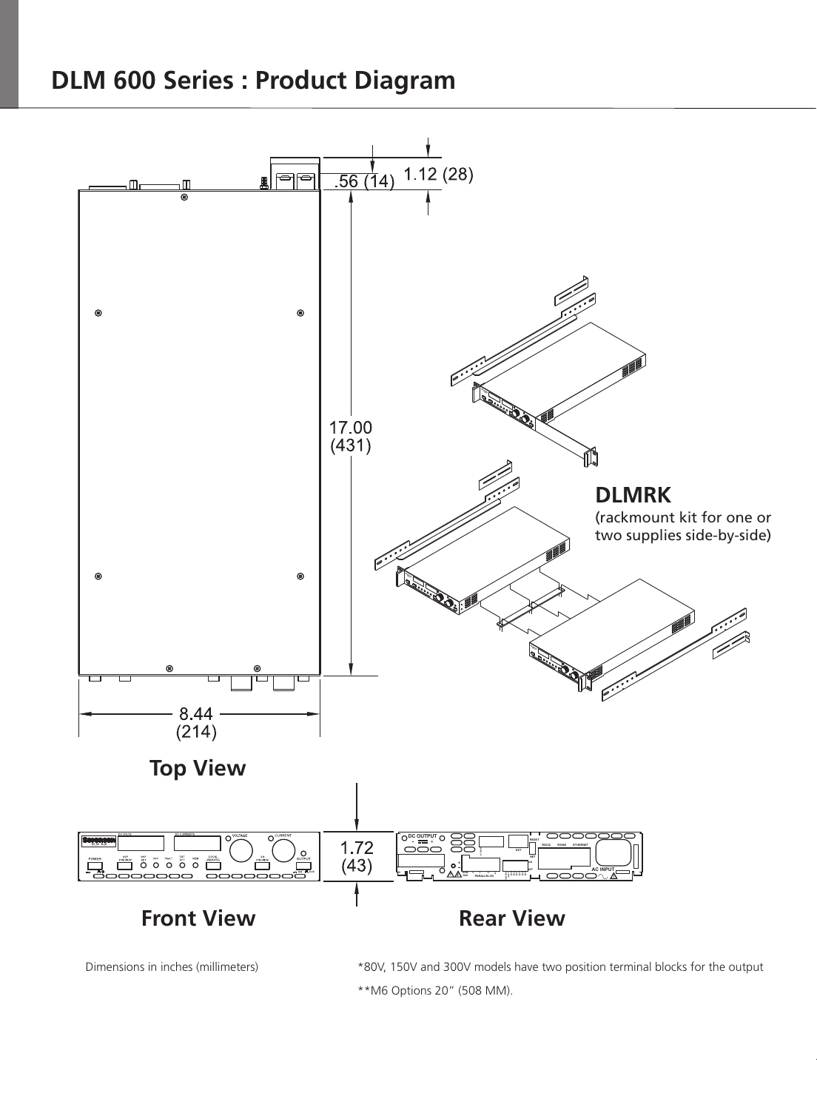#### **DLM 600 Series : Product Diagram**



Dimensions in inches (millimeters) \*80V, 150V and 300V models have two position terminal blocks for the output \*\*M6 Options 20" (508 MM).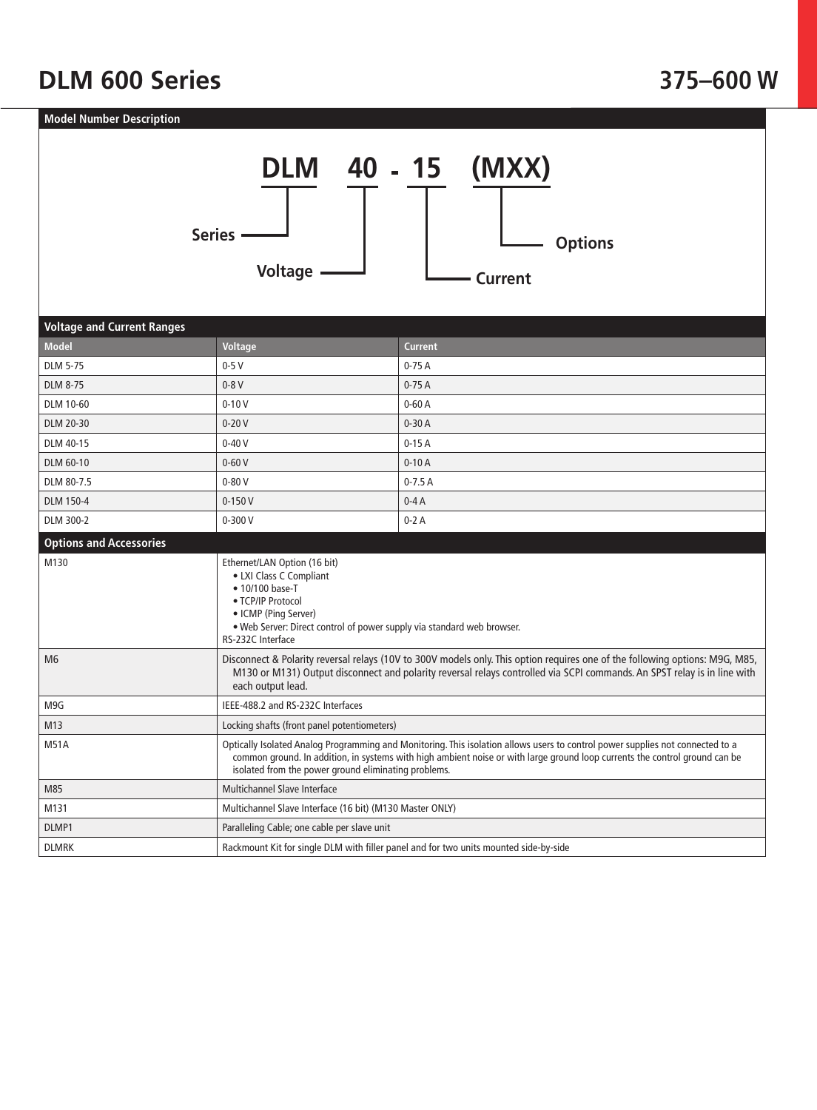#### **DLM 600 Series**

| <b>Model Number Description</b>                                                   |                                                                                                                                                                                                                                                                                                                       |                |  |  |  |  |
|-----------------------------------------------------------------------------------|-----------------------------------------------------------------------------------------------------------------------------------------------------------------------------------------------------------------------------------------------------------------------------------------------------------------------|----------------|--|--|--|--|
| DLM 40 - 15 (MXX)<br><b>Series</b><br><b>Options</b><br>Voltage<br><b>Current</b> |                                                                                                                                                                                                                                                                                                                       |                |  |  |  |  |
| <b>Voltage and Current Ranges</b>                                                 |                                                                                                                                                                                                                                                                                                                       |                |  |  |  |  |
| <b>Model</b>                                                                      | <b>Voltage</b>                                                                                                                                                                                                                                                                                                        | <b>Current</b> |  |  |  |  |
| <b>DLM 5-75</b>                                                                   | $0-5V$                                                                                                                                                                                                                                                                                                                | $0-75A$        |  |  |  |  |
| <b>DLM 8-75</b>                                                                   | $0-8V$                                                                                                                                                                                                                                                                                                                | $0-75A$        |  |  |  |  |
| DLM 10-60                                                                         | $0-10V$                                                                                                                                                                                                                                                                                                               | $0-60A$        |  |  |  |  |
| DLM 20-30                                                                         | $0-20V$                                                                                                                                                                                                                                                                                                               | $0-30A$        |  |  |  |  |
| DLM 40-15                                                                         | $0-40V$                                                                                                                                                                                                                                                                                                               | $0-15A$        |  |  |  |  |
| DLM 60-10                                                                         | $0-60V$                                                                                                                                                                                                                                                                                                               | $0-10A$        |  |  |  |  |
| DLM 80-7.5                                                                        | $0-80V$                                                                                                                                                                                                                                                                                                               | $0-7.5A$       |  |  |  |  |
| <b>DLM 150-4</b>                                                                  | $0-150V$                                                                                                                                                                                                                                                                                                              | $0-4A$         |  |  |  |  |
| DLM 300-2                                                                         | $0 - 300V$                                                                                                                                                                                                                                                                                                            | $0-2A$         |  |  |  |  |
| <b>Options and Accessories</b>                                                    |                                                                                                                                                                                                                                                                                                                       |                |  |  |  |  |
| M130                                                                              | Ethernet/LAN Option (16 bit)<br>• LXI Class C Compliant<br>• 10/100 base-T<br>• TCP/IP Protocol<br>• ICMP (Ping Server)<br>. Web Server: Direct control of power supply via standard web browser.<br>RS-232C Interface                                                                                                |                |  |  |  |  |
| M <sub>6</sub>                                                                    | Disconnect & Polarity reversal relays (10V to 300V models only. This option requires one of the following options: M9G, M85,<br>M130 or M131) Output disconnect and polarity reversal relays controlled via SCPI commands. An SPST relay is in line with<br>each output lead.                                         |                |  |  |  |  |
| M9G                                                                               | IEEE-488.2 and RS-232C Interfaces                                                                                                                                                                                                                                                                                     |                |  |  |  |  |
| M13                                                                               | Locking shafts (front panel potentiometers)                                                                                                                                                                                                                                                                           |                |  |  |  |  |
| <b>M51A</b>                                                                       | Optically Isolated Analog Programming and Monitoring. This isolation allows users to control power supplies not connected to a<br>common ground. In addition, in systems with high ambient noise or with large ground loop currents the control ground can be<br>isolated from the power ground eliminating problems. |                |  |  |  |  |
| M85                                                                               | Multichannel Slave Interface                                                                                                                                                                                                                                                                                          |                |  |  |  |  |
| M131                                                                              | Multichannel Slave Interface (16 bit) (M130 Master ONLY)                                                                                                                                                                                                                                                              |                |  |  |  |  |
| DLMP1                                                                             | Paralleling Cable; one cable per slave unit                                                                                                                                                                                                                                                                           |                |  |  |  |  |
| <b>DLMRK</b>                                                                      | Rackmount Kit for single DLM with filler panel and for two units mounted side-by-side                                                                                                                                                                                                                                 |                |  |  |  |  |